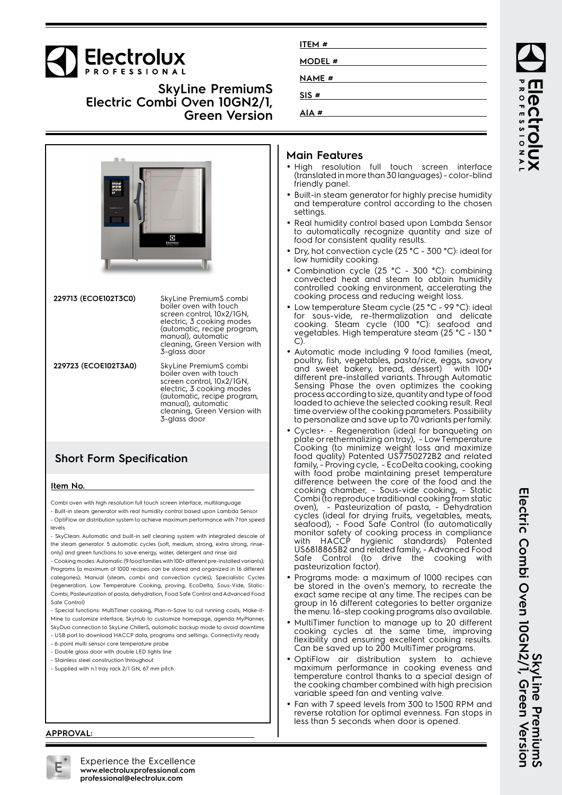

**SkyLine PremiumS Electric Combi Oven 10GN2/1, Green Version**



## **Short Form Specification**

#### **Item No.**

Combi oven with high resolution full touch screen interface, multilanguage - Built-in steam generator with real humidity control based upon Lambda Sensor

- OptiFlow air distribution system to achieve maximum performance with 7 fan speed levels

- SkyClean: Automatic and built-in self cleaning system with integrated descale of the steam generator. 5 automatic cycles (soft, medium, strong, extra strong, rinseonly) and green functions to save energy, water, detergent and rinse aid

- Cooking modes: Automatic (9 food families with 100+ different pre-installed variants); Programs (a maximum of 1000 recipes can be stored and organized in 16 different categories); Manual (steam, combi and convection cycles); Specialistic Cycles (regeneration, Low Temperature Cooking, proving, EcoDelta, Sous-Vide, Static-Combi, Pasteurization of pasta, dehydration, Food Safe Control and Advanced Food Safe Control)

- Special functions: MultiTimer cooking, Plan-n-Save to cut running costs, Make-it-Mine to customize interface, SkyHub to customize homepage, agenda MyPlanner, SkyDuo connection to SkyLine ChillerS, automatic backup mode to avoid downtime

- USB port to download HACCP data, programs and settings. Connectivity ready
- 6-point multi sensor core temperature probe
- Double glass door with double LED lights line - Stainless steel construction throughout
- Supplied with n.1 tray rack 2/1 GN, 67 mm pitch.

## **Main Features**

**ITEM # MODEL # NAME # SIS # AIA #**

- High resolution full touch screen interface (translated in more than 30 languages) - color-blind friendly panel.
- Built-in steam generator for highly precise humidity and temperature control according to the chosen settings.
- Real humidity control based upon Lambda Sensor to automatically recognize quantity and size of food for consistent quality results.
- • Dry, hot convection cycle (25 °C - 300 °C): ideal for low humidity cooking.
- •• Combination cycle (25 °C - 300 °C): combining convected heat and steam to obtain humidity controlled cooking environment, accelerating the cooking process and reducing weight loss.
- • Low temperature Steam cycle (25 °C - 99 °C): ideal for sous-vide, re-thermalization and delicate cooking. Steam cycle (100 °C): seafood and vegetables. High temperature steam (25 °C - 130 ° C).
- Automatic mode including 9 food families (meat, poultry, fish, vegetables, pasta/rice, eggs, savory and sweet bakery, bread, dessert) with 100+ different pre-installed variants. Through Automatic Sensing Phase the oven optimizes the cooking process according to size, quantity and type of food loaded to achieve the selected cooking result. Real time overview of the cooking parameters. Possibility to personalize and save up to 70 variants per family.
- • Cycles+: - Regeneration (ideal for banqueting on plate or rethermalizing on tray), - Low Temperature Cooking (to minimize weight loss and maximize food quality) Patented US7750272B2 and related family, - Proving cycle, - EcoDelta cooking, cooking with food probe maintaining preset temperature difference between the core of the food and the cooking chamber, - Sous-vide cooking, - Static Combi (to reproduce traditional cooking from static oven), - Pasteurization of pasta, - Dehydration cycles (ideal for drying fruits, vegetables, meats, seafood), - Food Safe Control (to automatically monitor safety of cooking process in compliance with HACCP hygienic standards) Patented US6818865B2 and related family, - Advanced Food Safe Control (to drive the cooking with pasteurization factor).
- • Programs mode: a maximum of 1000 recipes can be stored in the oven's memory, to recreate the exact same recipe at any time. The recipes can be group in 16 different categories to better organize the menu. 16-step cooking programs also available.
- MultiTimer function to manage up to 20 different cooking cycles at the same time, improving flexibility and ensuring excellent cooking results. Can be saved up to 200 MultiTimer programs.
- • OptiFlow air distribution system to achieve maximum performance in cooking eveness and temperature control thanks to a special design of the cooking chamber combined with high precision variable speed fan and venting valve.
- • Fan with 7 speed levels from 300 to 1500 RPM and reverse rotation for optimal evenness. Fan stops in less than 5 seconds when door is opened.

ROFESSIONA Iect rolux

#### **APPROVAL:**



Experience the Excellence **www.electroluxprofessional.com professional@electrolux.com**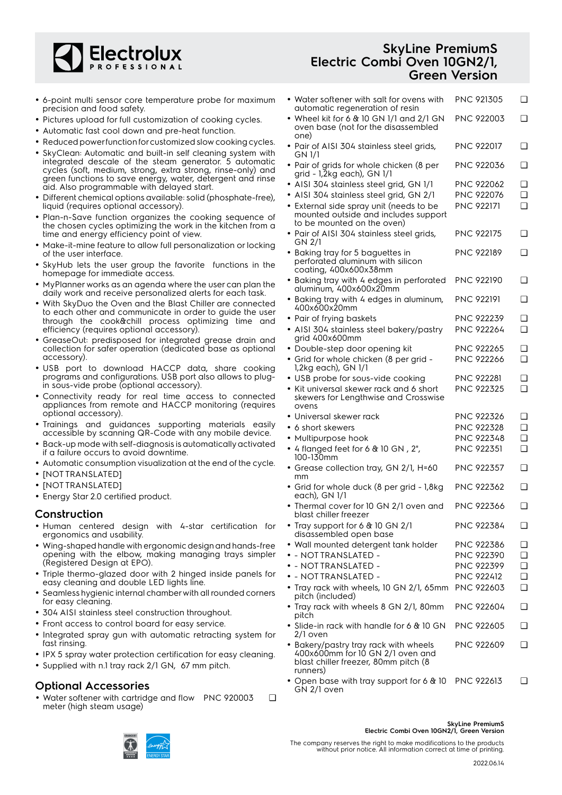

- 6-point multi sensor core temperature probe for maximum precision and food safety.
- Pictures upload for full customization of cooking cycles.
- Automatic fast cool down and pre-heat function.
- Reduced power function for customized slow cooking cycles.
- SkyClean: Automatic and built-in self cleaning system with integrated descale of the steam generator. 5 automatic cycles (soft, medium, strong, extra strong, rinse-only) and green functions to save energy, water, detergent and rinse aid. Also programmable with delayed start.
- Different chemical options available: solid (phosphate-free), liquid (requires optional accessory).
- Plan-n-Save function organizes the cooking sequence of the chosen cycles optimizing the work in the kitchen from a time and energy efficiency point of view.
- Make-it-mine feature to allow full personalization or locking of the user interface.
- • SkyHub lets the user group the favorite functions in the homepage for immediate access.
- MyPlanner works as an agenda where the user can plan the daily work and receive personalized alerts for each task.
- With SkyDuo the Oven and the Blast Chiller are connected to each other and communicate in order to guide the user through the cook&chill process optimizing time and efficiency (requires optional accessory).
- GreaseOut: predisposed for integrated grease drain and collection for safer operation (dedicated base as optional accessory).
- USB port to download HACCP data, share cooking programs and configurations. USB port also allows to plugin sous-vide probe (optional accessory).
- Connectivity ready for real time access to connected appliances from remote and HACCP monitoring (requires optional accessory).
- Trainings and guidances supporting materials easily accessible by scanning QR-Code with any mobile device.
- Back-up mode with self-diagnosis is automatically activated if a failure occurs to avoid downtime.
- Automatic consumption visualization at the end of the cycle.
- [NOT TRANSLATED]
- [NOT TRANSLATED]
- Energy Star 2.0 certified product.

### **Construction**

- Human centered design with 4-star certification for ergonomics and usability.
- Wing-shaped handle with ergonomic design and hands-free opening with the elbow, making managing trays simpler (Registered Design at EPO).
- Triple thermo-glazed door with 2 hinged inside panels for easy cleaning and double LED lights line.
- • Seamless hygienic internal chamber with all rounded corners for easy cleaning.
- 304 AISI stainless steel construction throughout.
- Front access to control board for easy service.
- Integrated spray gun with automatic retracting system for fast rinsing.
- IPX 5 spray water protection certification for easy cleaning.
- Supplied with n.1 tray rack 2/1 GN, 67 mm pitch.

## **Optional Accessories**

• Water softener with cartridge and flow PNC 920003 ❑ meter (high steam usage)

## **SkyLine PremiumS Electric Combi Oven 10GN2/1, Green Version**

| • Water softener with salt for ovens with<br>automatic regeneration of resin                                                  | PNC 921305                      | ❏                |
|-------------------------------------------------------------------------------------------------------------------------------|---------------------------------|------------------|
| • Wheel kit for 6 $&$ 10 GN 1/1 and 2/1 GN<br>oven base (not for the disassembled                                             | PNC 922003                      | ❏                |
| one)<br>• Pair of AISI 304 stainless steel grids,<br>GN 1/1                                                                   | PNC 922017                      | ❏                |
| · Pair of grids for whole chicken (8 per<br>grid - 1,2kg each), GN 1/1                                                        | PNC 922036                      | ❏                |
| · AISI 304 stainless steel grid, GN 1/1                                                                                       | <b>PNC 922062</b>               | ❏                |
| • AISI 304 stainless steel grid, GN 2/1                                                                                       | PNC 922076                      | $\Box$           |
| • External side spray unit (needs to be<br>mounted outside and includes support<br>to be mounted on the oven)                 | <b>PNC 922171</b>               | $\Box$           |
| • Pair of AISI 304 stainless steel grids,<br>GN 2/1                                                                           | <b>PNC 922175</b>               | ❏                |
| • Baking tray for 5 baguettes in<br>perforated aluminum with silicon<br>coating, 400x600x38mm                                 | <b>PNC 922189</b>               | ❏                |
| • Baking tray with 4 edges in perforated<br>aluminum, 400x600x20mm                                                            | PNC 922190                      | ❏                |
| • Baking tray with 4 edges in aluminum,<br>400x600x20mm                                                                       | <b>PNC 922191</b>               | ❏                |
| • Pair of frying baskets                                                                                                      | PNC 922239                      | ❏                |
| · AISI 304 stainless steel bakery/pastry<br>grid 400x600mm                                                                    | PNC 922264                      | ❏                |
| • Double-step door opening kit                                                                                                | <b>PNC 922265</b>               | ❏                |
| • Grid for whole chicken (8 per grid -<br>1,2kg each), GN 1/1                                                                 | <b>PNC 922266</b>               | $\Box$           |
| • USB probe for sous-vide cooking                                                                                             | PNC 922281                      | ❏                |
| $\bullet\,$ Kit universal skewer rack and 6 short<br>skewers for Lengthwise and Crosswise<br>ovens                            | <b>PNC 922325</b>               | ❏                |
| • Universal skewer rack                                                                                                       | PNC 922326                      | ❏                |
| • 6 short skewers                                                                                                             | <b>PNC 922328</b>               | $\Box$           |
| • Multipurpose hook                                                                                                           | PNC 922348                      | ❏                |
| • 4 flanged feet for 6 $\&$ 10 GN, 2",<br>100-130mm                                                                           | <b>PNC 922351</b>               | ❏                |
| • Grease collection tray, GN 2/1, H=60<br>mm                                                                                  | PNC 922357                      | ❏                |
| • Grid for whole duck (8 per grid - 1,8kg<br>each), GN 1/1                                                                    | <b>PNC 922362</b>               | ❏                |
| • Thermal cover for 10 GN 2/1 oven and<br>blast chiller freezer                                                               | <b>PNC 922366</b>               | ❏                |
| • Tray support for 6 & 10 GN 2/1<br>disassembled open base                                                                    | PNC 922384                      | ❏                |
| • Wall mounted detergent tank holder                                                                                          | PNC 922386                      | ❏                |
| $\bullet$ - not translated -<br>$\bullet$ - NOTTRANSLATED -                                                                   | PNC 922390<br><b>PNC 922399</b> | $\Box$<br>$\Box$ |
| $\bullet$ - not translated -                                                                                                  | <b>PNC 922412</b>               | $\Box$           |
| • Tray rack with wheels, 10 GN 2/1, 65mm                                                                                      | <b>PNC 922603</b>               | $\Box$           |
| pitch (included)                                                                                                              |                                 |                  |
| • Tray rack with wheels 8 GN 2/1, 80mm<br>pitch                                                                               | PNC 922604                      | ❏                |
| • Slide-in rack with handle for 6 $\&$ 10 GN<br>2/1 oven                                                                      | PNC 922605                      | ❏                |
| • Bakery/pastry tray rack with wheels<br>400x600mm for 10 GN 2/1 oven and<br>blast chiller freezer, 80mm pitch (8<br>runners) | <b>PNC 922609</b>               | ❏                |
| • Open base with tray support for 6 & 10<br>GN 2/1 oven                                                                       | <b>PNC 922613</b>               | ❏                |



**SkyLine PremiumS Electric Combi Oven 10GN2/1, Green Version**

The company reserves the right to make modifications to the products without prior notice. All information correct at time of printing.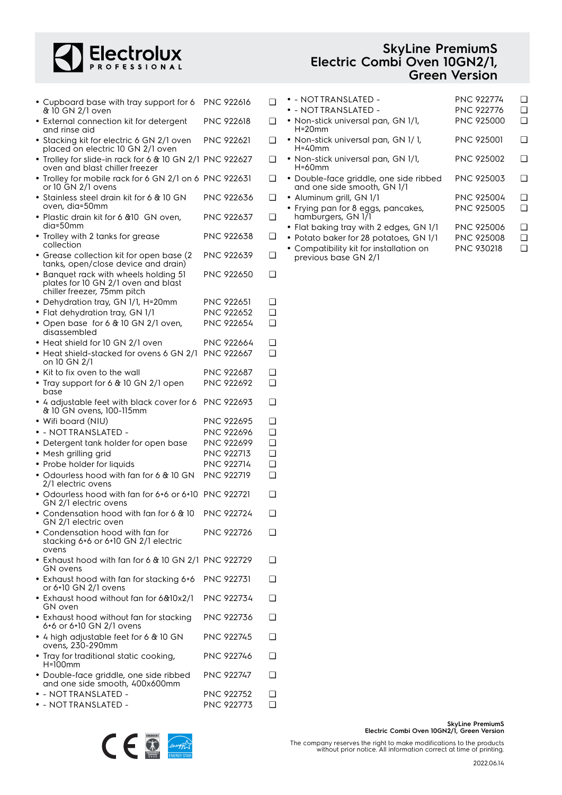

| <b>SkyLine PremiumS</b>      |
|------------------------------|
| Electric Combi Oven 10GN2/1, |
| <b>Green Version</b>         |

| • Cupboard base with tray support for 6<br>& 10 GN 2/1 oven                                                 | <b>PNC 922616</b>               | ∩                    |
|-------------------------------------------------------------------------------------------------------------|---------------------------------|----------------------|
| • External connection kit for detergent<br>and rinse aid                                                    | <b>PNC 922618</b>               | □                    |
| • Stacking kit for electric 6 GN 2/1 oven<br>placed on electric 10 GN 2/1 oven                              | <b>PNC 922621</b>               | ∩                    |
| • Trolley for slide-in rack for 6 & 10 GN 2/1 PNC 922627<br>oven and blast chiller freezer                  |                                 | ∩                    |
| • Trolley for mobile rack for 6 GN 2/1 on 6 PNC 922631<br>or 10 GN 2/1 ovens                                |                                 | ∩                    |
| • Stainless steel drain kit for 6 & 10 GN<br>oven, dia=50mm                                                 | PNC 922636                      | ∩                    |
| · Plastic drain kit for 6 &10 GN oven,<br>dia=50mm                                                          | PNC 922637                      | ❏                    |
| • Trolley with 2 tanks for grease<br>collection                                                             | PNC 922638                      | ❏                    |
| • Grease collection kit for open base (2)<br>tanks, open/close device and drain)                            | PNC 922639                      | ❏                    |
| • Banquet rack with wheels holding 51<br>plates for 10 GN 2/1 oven and blast<br>chiller freezer, 75mm pitch | <b>PNC 922650</b>               | ◻                    |
| • Dehydration tray, GN 1/1, H=20mm                                                                          | <b>PNC 922651</b>               | <b>□</b>             |
| · Flat dehydration tray, GN 1/1                                                                             | PNC 922652<br>PNC 922654        | ❏<br>❏               |
| • Open base for 6 & 10 GN 2/1 oven,<br>disassembled                                                         |                                 |                      |
| • Heat shield for 10 GN 2/1 oven                                                                            | PNC 922664                      | ❏                    |
| • Heat shield-stacked for ovens 6 GN 2/1<br>on 10 GN 2/1                                                    | <b>PNC 922667</b>               | ❏                    |
| Kit to fix oven to the wall                                                                                 | <b>PNC 922687</b><br>PNC 922692 | ❏<br>∩               |
| • Tray support for 6 & 10 GN 2/1 open<br>base                                                               |                                 |                      |
| • 4 adjustable feet with black cover for 6<br>& 10 GN ovens, 100-115mm                                      | <b>PNC 922693</b>               | ❏                    |
| • Wifi board (NIU)                                                                                          | <b>PNC 922695</b>               | ❏                    |
| · - NOTTRANSLATED -                                                                                         | PNC 922696                      | <b>□</b>             |
| • Detergent tank holder for open base                                                                       | PNC 922699                      | ❏                    |
| • Mesh grilling grid                                                                                        | PNC 922713<br><b>PNC 922714</b> | <b>□</b><br><b>□</b> |
| • Probe holder for liquids<br>• Odourless hood with fan for 6 & 10 GN                                       | PNC 922719                      | ❏                    |
| 2/1 electric ovens                                                                                          |                                 |                      |
| · Odourless hood with fan for 6+6 or 6+10 PNC 922721<br>GN 2/1 electric ovens                               |                                 | ❏                    |
| • Condensation hood with fan for 6 & 10<br>GN 2/1 electric oven                                             | PNC 922724                      | ❏                    |
| $\bullet$ Condensation hood with fan for<br>stacking 6+6 or 6+10 GN 2/1 electric<br>ovens                   | <b>PNC 922726</b>               |                      |
| • Exhaust hood with fan for 6 & 10 GN 2/1 PNC 922729<br>GN ovens                                            |                                 |                      |
| • Exhaust hood with fan for stacking 6+6<br>or 6+10 GN 2/1 ovens                                            | <b>PNC 922731</b>               | □                    |
| • Exhaust hood without fan for 6&10x2/1<br>GN oven                                                          | PNC 922734                      |                      |
| • Exhaust hood without fan for stacking<br>6+6 or 6+10 GN 2/1 ovens                                         | PNC 922736                      |                      |
| • 4 high adjustable feet for 6 $\&$ 10 GN<br>ovens, 230-290mm                                               | PNC 922745                      |                      |
| • Tray for traditional static cooking,<br>$H=100$ mm                                                        | <b>PNC 922746</b>               |                      |
| · Double-face griddle, one side ribbed<br>and one side smooth, 400x600mm                                    | PNC 922747                      |                      |
| • - NOTTRANSLATED -                                                                                         | <b>PNC 922752</b>               | ❏                    |

| • - NOTTRANSLATED -                                                   | <b>PNC 922774</b> | □  |
|-----------------------------------------------------------------------|-------------------|----|
| $\bullet$ - not translated -                                          | <b>PNC 922776</b> | □  |
| • Non-stick universal pan, GN 1/1,<br>$H = 20$ mm                     | PNC 925000        | □  |
| • Non-stick universal pan, GN 1/1,<br>$H = 40$ mm                     | <b>PNC 925001</b> | ı. |
| • Non-stick universal pan, GN 1/1,<br>$H = 60$ mm                     | <b>PNC 925002</b> | □  |
| • Double-face griddle, one side ribbed<br>and one side smooth, GN 1/1 | <b>PNC 925003</b> | □  |
| • Aluminum grill, GN 1/1                                              | PNC 925004        | □  |
| • Frying pan for 8 eggs, pancakes,<br>hamburgers, GN 1/1              | <b>PNC 925005</b> | □  |
| • Flat baking tray with 2 edges, GN 1/1                               | PNC 925006        | □  |
| Potato baker for 28 potatoes, GN 1/1                                  | <b>PNC 925008</b> | □  |
| • Compatibility kit for installation on<br>previous base GN 2/1       | <b>PNC 930218</b> | □  |

|  | <b>BOOKOMAD</b> |                    |
|--|-----------------|--------------------|
|  |                 | <b>ENERGY STAR</b> |
|  |                 |                    |

• - NOT TRANSLATED - PNC 922773 ❑

**SkyLine PremiumS Electric Combi Oven 10GN2/1, Green Version**

The company reserves the right to make modifications to the products without prior notice. All information correct at time of printing.